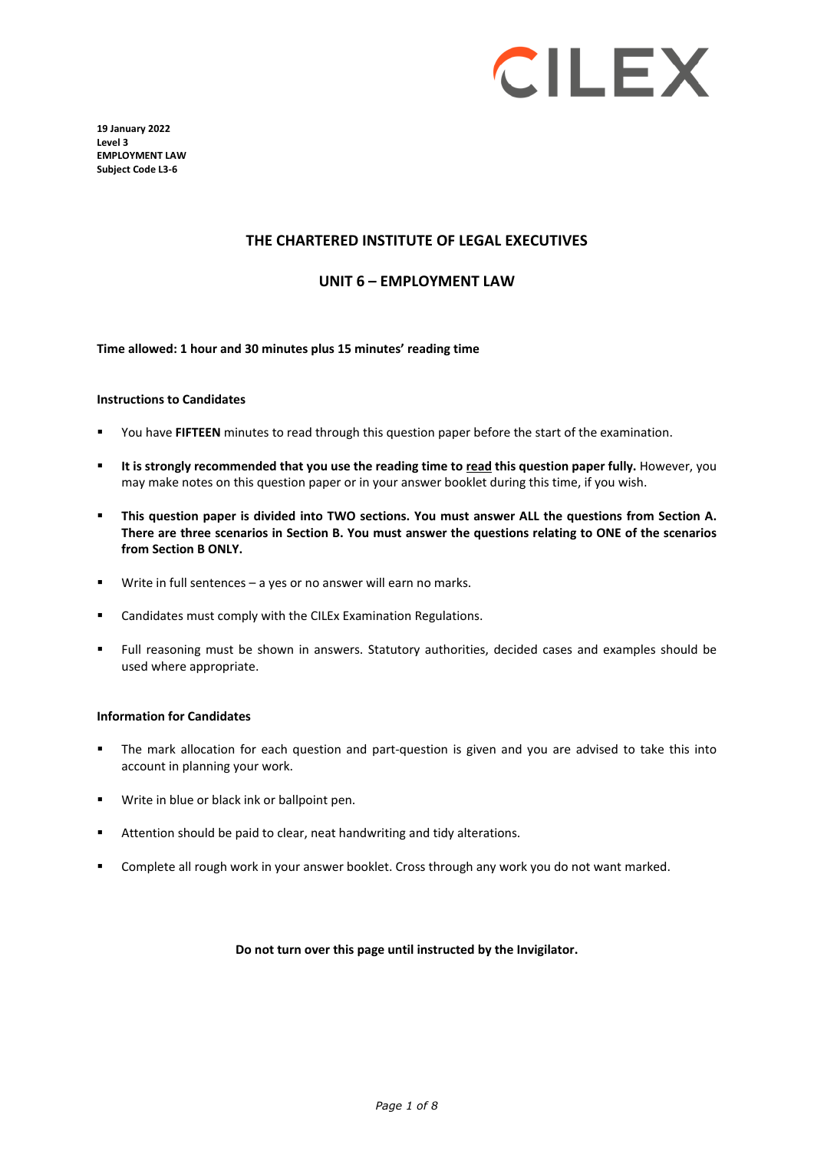

**19 January 2022 Level 3 EMPLOYMENT LAW Subject Code L3-6** 

### **THE CHARTERED INSTITUTE OF LEGAL EXECUTIVES**

### **UNIT 6 – EMPLOYMENT LAW**

#### **Time allowed: 1 hour and 30 minutes plus 15 minutes' reading time**

#### **Instructions to Candidates**

- You have **FIFTEEN** minutes to read through this question paper before the start of the examination.
- **It is strongly recommended that you use the reading time to read this question paper fully.** However, you may make notes on this question paper or in your answer booklet during this time, if you wish.
- **This question paper is divided into TWO sections. You must answer ALL the questions from Section A. There are three scenarios in Section B. You must answer the questions relating to ONE of the scenarios from Section B ONLY.**
- Write in full sentences a yes or no answer will earn no marks.
- **EXEC** Candidates must comply with the CILEx Examination Regulations.
- Full reasoning must be shown in answers. Statutory authorities, decided cases and examples should be used where appropriate.

#### **Information for Candidates**

- The mark allocation for each question and part-question is given and you are advised to take this into account in planning your work.
- Write in blue or black ink or ballpoint pen.
- Attention should be paid to clear, neat handwriting and tidy alterations.
- **Complete all rough work in your answer booklet. Cross through any work you do not want marked.**

#### **Do not turn over this page until instructed by the Invigilator.**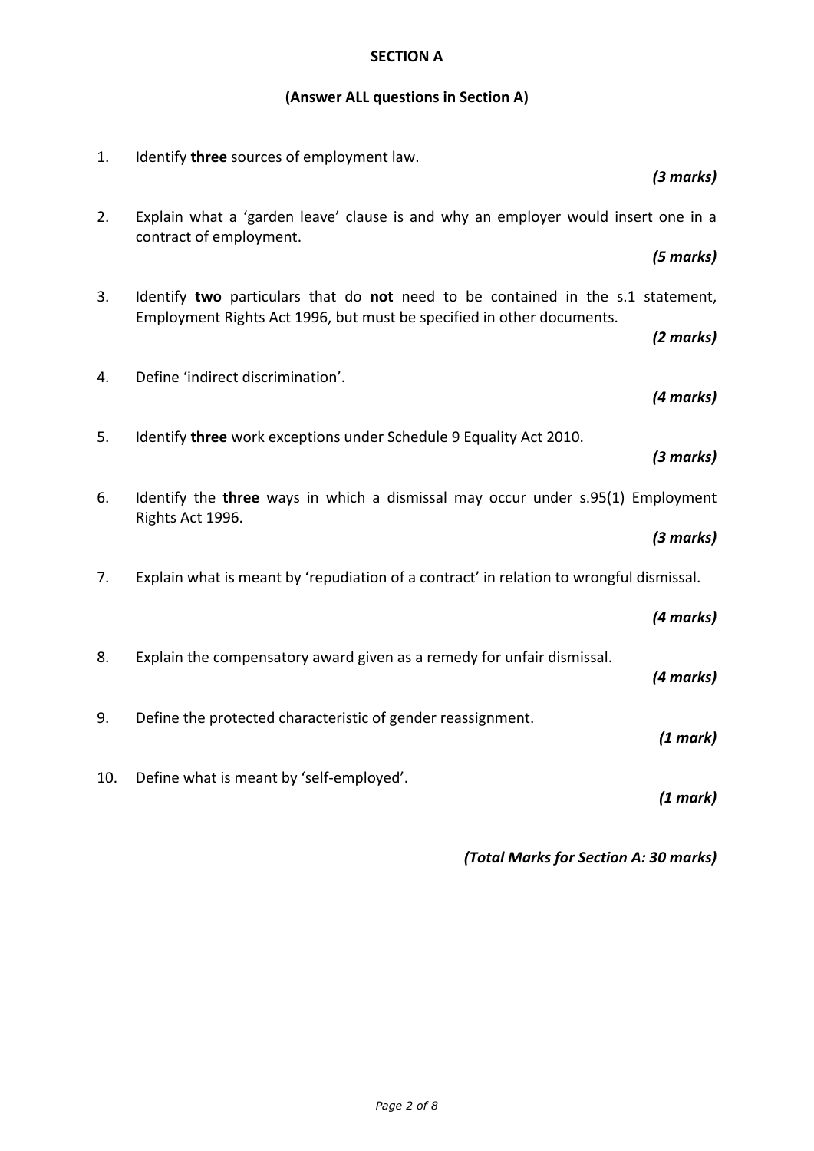# **SECTION A**

# **(Answer ALL questions in Section A)**

| 1.  | Identify three sources of employment law.                                                                                                                |           |
|-----|----------------------------------------------------------------------------------------------------------------------------------------------------------|-----------|
|     |                                                                                                                                                          | (3 marks) |
| 2.  | Explain what a 'garden leave' clause is and why an employer would insert one in a<br>contract of employment.                                             |           |
|     |                                                                                                                                                          | (5 marks) |
| 3.  | Identify two particulars that do not need to be contained in the s.1 statement,<br>Employment Rights Act 1996, but must be specified in other documents. |           |
|     |                                                                                                                                                          | (2 marks) |
| 4.  | Define 'indirect discrimination'.                                                                                                                        |           |
|     |                                                                                                                                                          | (4 marks) |
| 5.  | Identify three work exceptions under Schedule 9 Equality Act 2010.                                                                                       |           |
|     |                                                                                                                                                          | (3 marks) |
| 6.  | Identify the three ways in which a dismissal may occur under s.95(1) Employment<br>Rights Act 1996.                                                      |           |
|     |                                                                                                                                                          | (3 marks) |
| 7.  | Explain what is meant by 'repudiation of a contract' in relation to wrongful dismissal.                                                                  |           |
|     |                                                                                                                                                          | (4 marks) |
| 8.  | Explain the compensatory award given as a remedy for unfair dismissal.                                                                                   |           |
|     |                                                                                                                                                          | (4 marks) |
| 9.  | Define the protected characteristic of gender reassignment.                                                                                              |           |
|     |                                                                                                                                                          | (1 mark)  |
| 10. | Define what is meant by 'self-employed'.                                                                                                                 |           |
|     |                                                                                                                                                          | (1 mark)  |

*(Total Marks for Section A: 30 marks)*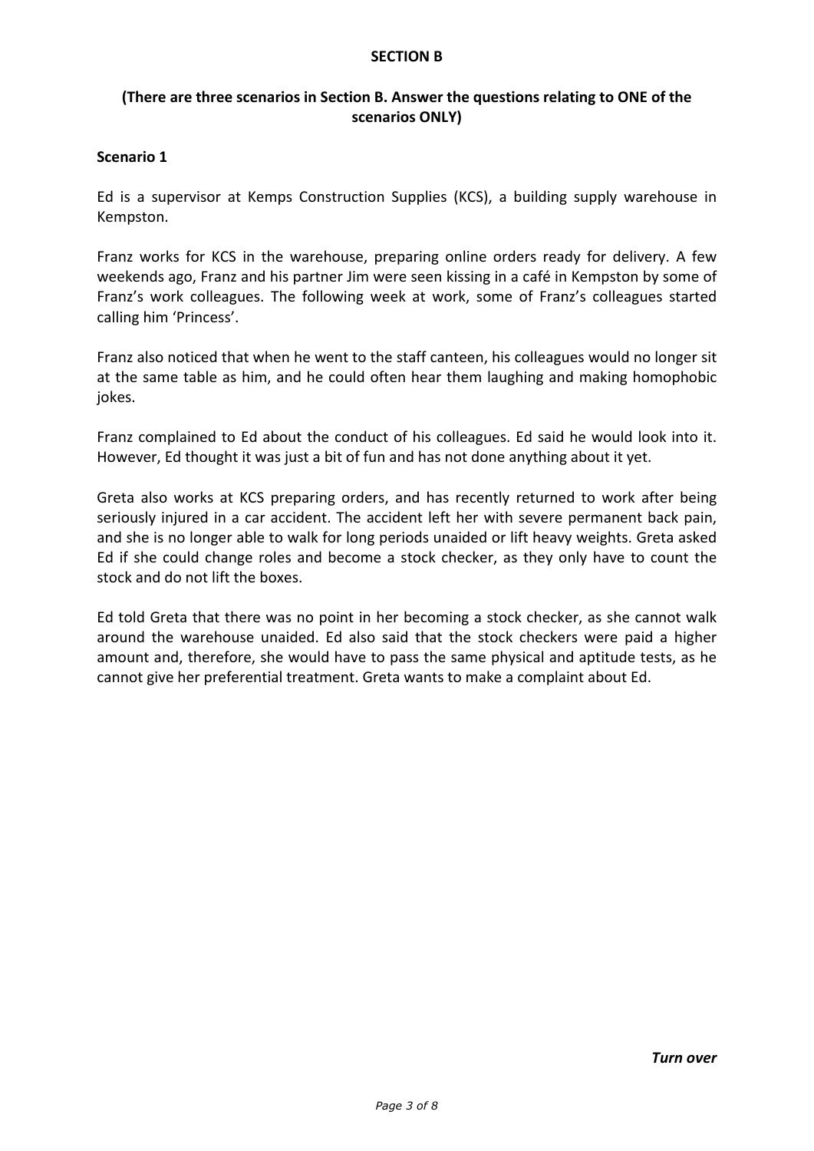### **SECTION B**

# **(There are three scenarios in Section B. Answer the questions relating to ONE of the scenarios ONLY)**

### **Scenario 1**

Ed is a supervisor at Kemps Construction Supplies (KCS), a building supply warehouse in Kempston.

Franz works for KCS in the warehouse, preparing online orders ready for delivery. A few weekends ago, Franz and his partner Jim were seen kissing in a café in Kempston by some of Franz's work colleagues. The following week at work, some of Franz's colleagues started calling him 'Princess'.

Franz also noticed that when he went to the staff canteen, his colleagues would no longer sit at the same table as him, and he could often hear them laughing and making homophobic jokes.

Franz complained to Ed about the conduct of his colleagues. Ed said he would look into it. However, Ed thought it was just a bit of fun and has not done anything about it yet.

Greta also works at KCS preparing orders, and has recently returned to work after being seriously injured in a car accident. The accident left her with severe permanent back pain, and she is no longer able to walk for long periods unaided or lift heavy weights. Greta asked Ed if she could change roles and become a stock checker, as they only have to count the stock and do not lift the boxes.

Ed told Greta that there was no point in her becoming a stock checker, as she cannot walk around the warehouse unaided. Ed also said that the stock checkers were paid a higher amount and, therefore, she would have to pass the same physical and aptitude tests, as he cannot give her preferential treatment. Greta wants to make a complaint about Ed.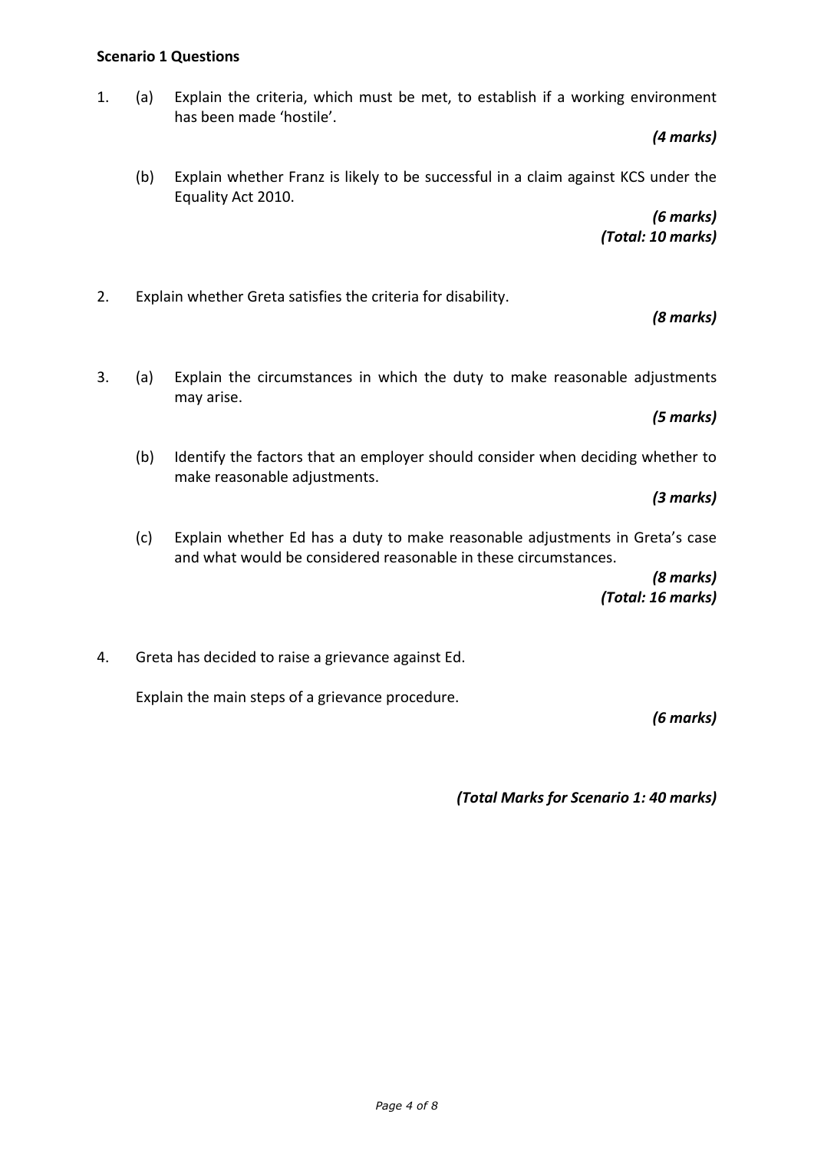# **Scenario 1 Questions**

1. (a) Explain the criteria, which must be met, to establish if a working environment has been made 'hostile'.

*(4 marks)*

(b) Explain whether Franz is likely to be successful in a claim against KCS under the Equality Act 2010.

> *(6 marks) (Total: 10 marks)*

2. Explain whether Greta satisfies the criteria for disability.

## *(8 marks)*

3. (a) Explain the circumstances in which the duty to make reasonable adjustments may arise.

# *(5 marks)*

(b) Identify the factors that an employer should consider when deciding whether to make reasonable adjustments.

*(3 marks)*

(c) Explain whether Ed has a duty to make reasonable adjustments in Greta's case and what would be considered reasonable in these circumstances.

> *(8 marks) (Total: 16 marks)*

4. Greta has decided to raise a grievance against Ed.

Explain the main steps of a grievance procedure.

*(6 marks)* 

*(Total Marks for Scenario 1: 40 marks)*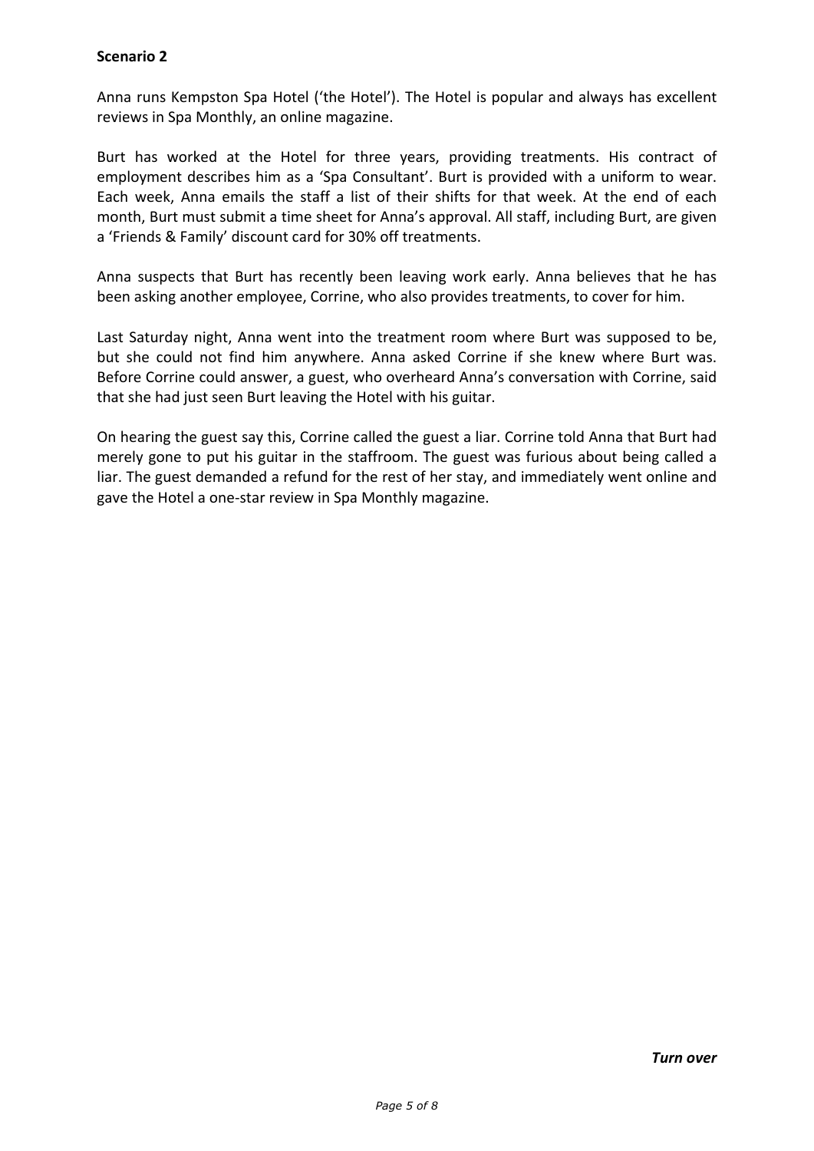# **Scenario 2**

Anna runs Kempston Spa Hotel ('the Hotel'). The Hotel is popular and always has excellent reviews in Spa Monthly, an online magazine.

Burt has worked at the Hotel for three years, providing treatments. His contract of employment describes him as a 'Spa Consultant'. Burt is provided with a uniform to wear. Each week, Anna emails the staff a list of their shifts for that week. At the end of each month, Burt must submit a time sheet for Anna's approval. All staff, including Burt, are given a 'Friends & Family' discount card for 30% off treatments.

Anna suspects that Burt has recently been leaving work early. Anna believes that he has been asking another employee, Corrine, who also provides treatments, to cover for him.

Last Saturday night, Anna went into the treatment room where Burt was supposed to be, but she could not find him anywhere. Anna asked Corrine if she knew where Burt was. Before Corrine could answer, a guest, who overheard Anna's conversation with Corrine, said that she had just seen Burt leaving the Hotel with his guitar.

On hearing the guest say this, Corrine called the guest a liar. Corrine told Anna that Burt had merely gone to put his guitar in the staffroom. The guest was furious about being called a liar. The guest demanded a refund for the rest of her stay, and immediately went online and gave the Hotel a one-star review in Spa Monthly magazine.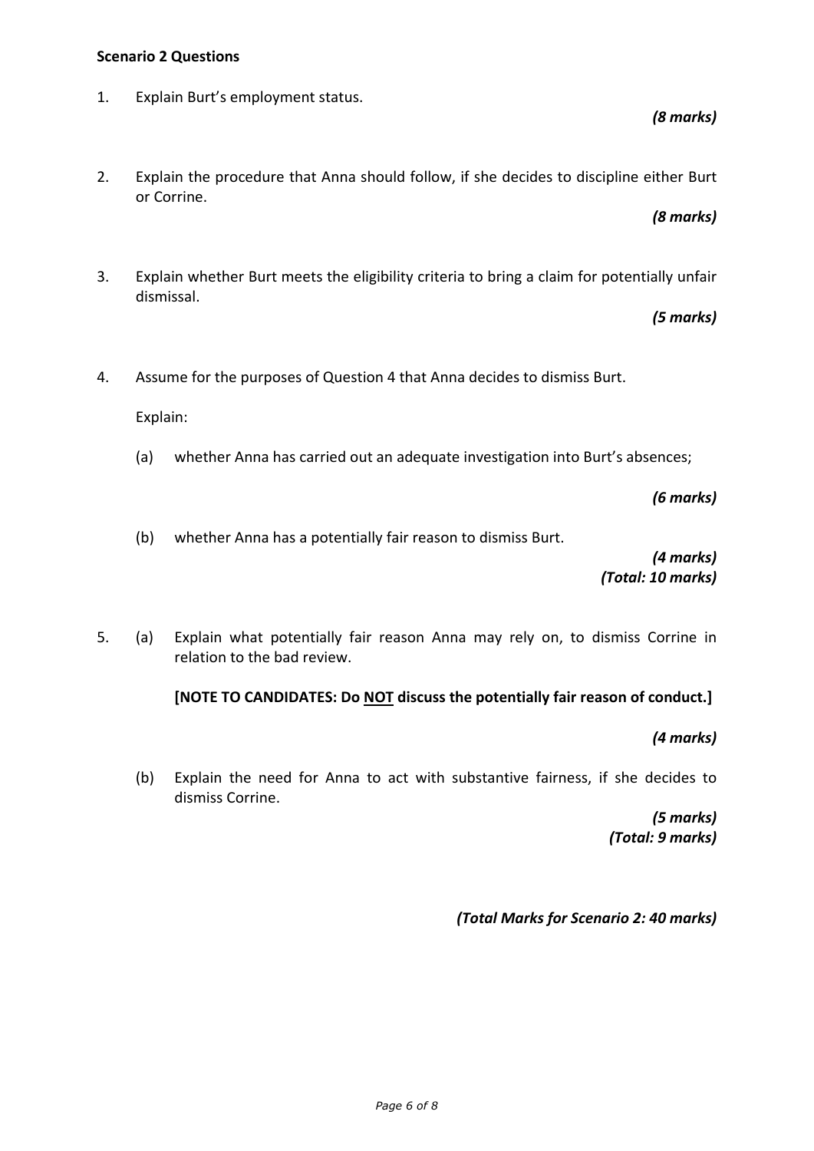### **Scenario 2 Questions**

1. Explain Burt's employment status.

*(8 marks)*

2. Explain the procedure that Anna should follow, if she decides to discipline either Burt or Corrine.

*(8 marks)*

3. Explain whether Burt meets the eligibility criteria to bring a claim for potentially unfair dismissal.

*(5 marks)*

4. Assume for the purposes of Question 4 that Anna decides to dismiss Burt.

Explain:

(a) whether Anna has carried out an adequate investigation into Burt's absences;

*(6 marks)*

(b) whether Anna has a potentially fair reason to dismiss Burt.

*(4 marks) (Total: 10 marks)*

5. (a) Explain what potentially fair reason Anna may rely on, to dismiss Corrine in relation to the bad review.

**[NOTE TO CANDIDATES: Do NOT discuss the potentially fair reason of conduct.]** 

*(4 marks)*

(b) Explain the need for Anna to act with substantive fairness, if she decides to dismiss Corrine.

> *(5 marks) (Total: 9 marks)*

*(Total Marks for Scenario 2: 40 marks)*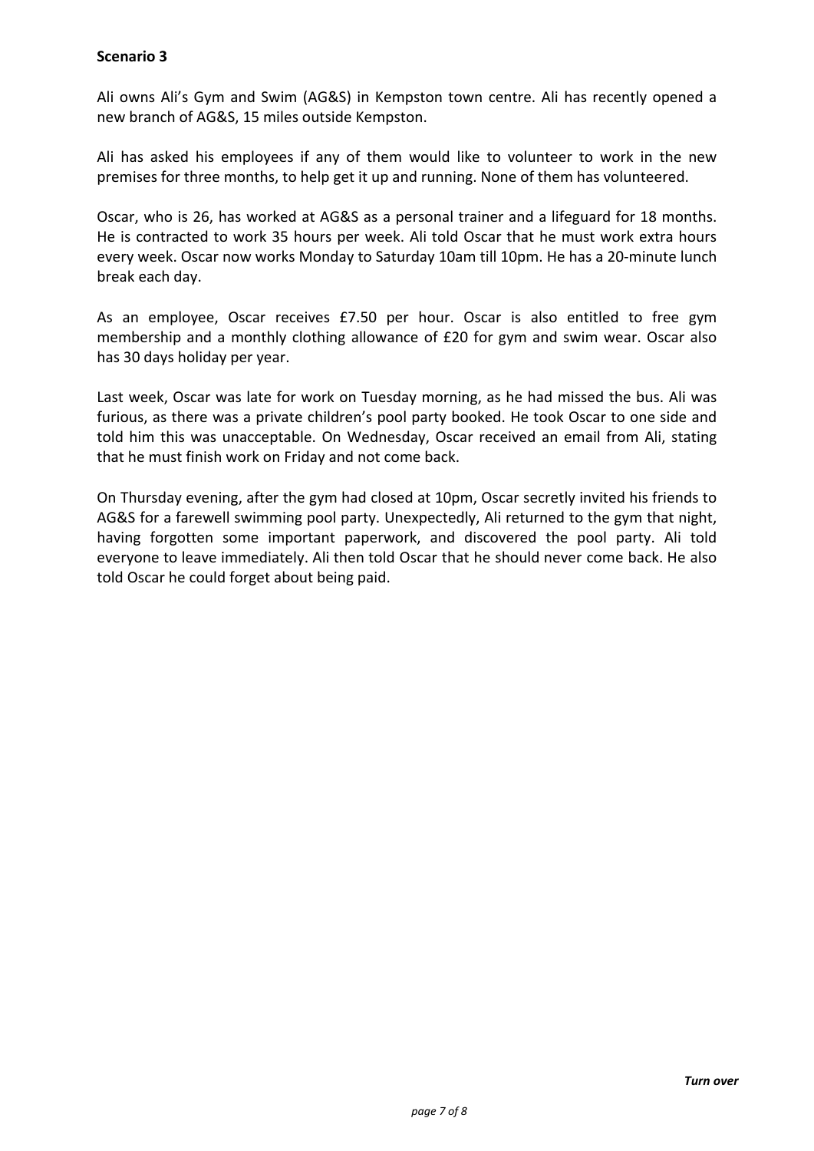## **Scenario 3**

Ali owns Ali's Gym and Swim (AG&S) in Kempston town centre. Ali has recently opened a new branch of AG&S, 15 miles outside Kempston.

Ali has asked his employees if any of them would like to volunteer to work in the new premises for three months, to help get it up and running. None of them has volunteered.

Oscar, who is 26, has worked at AG&S as a personal trainer and a lifeguard for 18 months. He is contracted to work 35 hours per week. Ali told Oscar that he must work extra hours every week. Oscar now works Monday to Saturday 10am till 10pm. He has a 20-minute lunch break each day.

As an employee, Oscar receives £7.50 per hour. Oscar is also entitled to free gym membership and a monthly clothing allowance of £20 for gym and swim wear. Oscar also has 30 days holiday per year.

Last week, Oscar was late for work on Tuesday morning, as he had missed the bus. Ali was furious, as there was a private children's pool party booked. He took Oscar to one side and told him this was unacceptable. On Wednesday, Oscar received an email from Ali, stating that he must finish work on Friday and not come back.

On Thursday evening, after the gym had closed at 10pm, Oscar secretly invited his friends to AG&S for a farewell swimming pool party. Unexpectedly, Ali returned to the gym that night, having forgotten some important paperwork, and discovered the pool party. Ali told everyone to leave immediately. Ali then told Oscar that he should never come back. He also told Oscar he could forget about being paid.